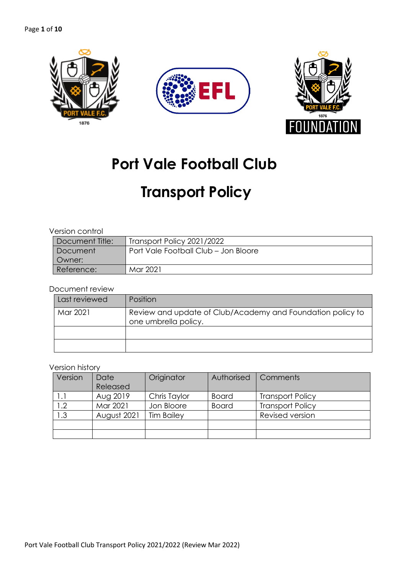

# **Port Vale Football Club**

# **Transport Policy**

### Version control

| Document Title: | Transport Policy 2021/2022           |
|-----------------|--------------------------------------|
| Document        | Port Vale Football Club - Jon Bloore |
| Owner:          |                                      |
| Reference:      | Mar 2021                             |

# Document review

| Last reviewed | Position                                                                           |
|---------------|------------------------------------------------------------------------------------|
| Mar 2021      | Review and update of Club/Academy and Foundation policy to<br>one umbrella policy. |
|               |                                                                                    |
|               |                                                                                    |

#### Version history

| Version | Date        | Originator        | Authorised   | Comments                |
|---------|-------------|-------------------|--------------|-------------------------|
|         | Released    |                   |              |                         |
|         | Aug 2019    | Chris Taylor      | <b>Board</b> | <b>Transport Policy</b> |
| 1.2     | Mar 2021    | Jon Bloore        | <b>Board</b> | <b>Transport Policy</b> |
| 1.3     | August 2021 | <b>Tim Bailey</b> |              | Revised version         |
|         |             |                   |              |                         |
|         |             |                   |              |                         |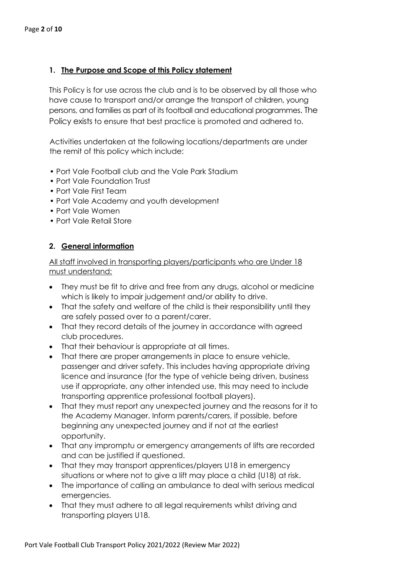# **1. The Purpose and Scope of this Policy statement**

This Policy is for use across the club and is to be observed by all those who have cause to transport and/or arrange the transport of children, young persons, and families as part of its football and educational programmes. The Policy exists to ensure that best practice is promoted and adhered to.

Activities undertaken at the following locations/departments are under the remit of this policy which include:

- Port Vale Football club and the Vale Park Stadium
- Port Vale Foundation Trust
- Port Vale First Team
- Port Vale Academy and youth development
- Port Vale Women
- Port Vale Retail Store

# **2. General information**

All staff involved in transporting players/participants who are Under 18 must understand:

- They must be fit to drive and free from any drugs, alcohol or medicine which is likely to impair judgement and/or ability to drive.
- That the safety and welfare of the child is their responsibility until they are safely passed over to a parent/carer.
- That they record details of the journey in accordance with agreed club procedures.
- That their behaviour is appropriate at all times.
- That there are proper arrangements in place to ensure vehicle, passenger and driver safety. This includes having appropriate driving licence and insurance (for the type of vehicle being driven, business use if appropriate, any other intended use, this may need to include transporting apprentice professional football players).
- That they must report any unexpected journey and the reasons for it to the Academy Manager. Inform parents/carers, if possible, before beginning any unexpected journey and if not at the earliest opportunity.
- That any impromptu or emergency arrangements of lifts are recorded and can be justified if questioned.
- That they may transport apprentices/players U18 in emergency situations or where not to give a lift may place a child (U18) at risk.
- The importance of calling an ambulance to deal with serious medical emergencies.
- That they must adhere to all legal requirements whilst driving and transporting players U18.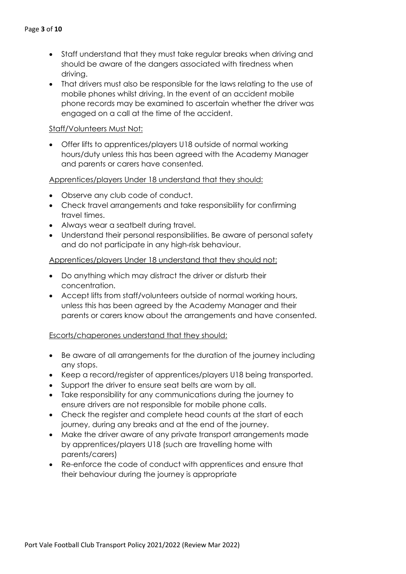- Staff understand that they must take regular breaks when driving and should be aware of the dangers associated with tiredness when driving.
- That drivers must also be responsible for the laws relating to the use of mobile phones whilst driving. In the event of an accident mobile phone records may be examined to ascertain whether the driver was engaged on a call at the time of the accident.

### Staff/Volunteers Must Not:

• Offer lifts to apprentices/players U18 outside of normal working hours/duty unless this has been agreed with the Academy Manager and parents or carers have consented.

### Apprentices/players Under 18 understand that they should:

- Observe any club code of conduct.
- Check travel arrangements and take responsibility for confirming travel times.
- Always wear a seatbelt during travel.
- Understand their personal responsibilities. Be aware of personal safety and do not participate in any high-risk behaviour.

### Apprentices/players Under 18 understand that they should not:

- Do anything which may distract the driver or disturb their concentration.
- Accept lifts from staff/volunteers outside of normal working hours, unless this has been agreed by the Academy Manager and their parents or carers know about the arrangements and have consented.

#### Escorts/chaperones understand that they should:

- Be aware of all arrangements for the duration of the journey including any stops.
- Keep a record/register of apprentices/players U18 being transported.
- Support the driver to ensure seat belts are worn by all.
- Take responsibility for any communications during the journey to ensure drivers are not responsible for mobile phone calls.
- Check the reaister and complete head counts at the start of each journey, during any breaks and at the end of the journey.
- Make the driver aware of any private transport arrangements made by apprentices/players U18 (such are travelling home with parents/carers)
- Re-enforce the code of conduct with apprentices and ensure that their behaviour during the journey is appropriate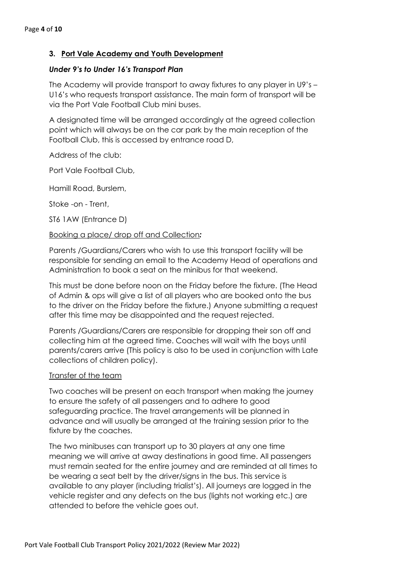# **3. Port Vale Academy and Youth Development**

#### *Under 9's to Under 16's Transport Plan*

The Academy will provide transport to away fixtures to any player in U9's – U16's who requests transport assistance. The main form of transport will be via the Port Vale Football Club mini buses.

A designated time will be arranged accordingly at the agreed collection point which will always be on the car park by the main reception of the Football Club, this is accessed by entrance road D,

Address of the club:

Port Vale Football Club,

Hamill Road, Burslem,

Stoke -on - Trent,

ST6 1AW (Entrance D)

### Booking a place/ drop off and Collection*:*

Parents /Guardians/Carers who wish to use this transport facility will be responsible for sending an email to the Academy Head of operations and Administration to book a seat on the minibus for that weekend.

This must be done before noon on the Friday before the fixture. (The Head of Admin & ops will give a list of all players who are booked onto the bus to the driver on the Friday before the fixture.) Anyone submitting a request after this time may be disappointed and the request rejected.

Parents /Guardians/Carers are responsible for dropping their son off and collecting him at the agreed time. Coaches will wait with the boys until parents/carers arrive (This policy is also to be used in conjunction with Late collections of children policy).

#### Transfer of the team

Two coaches will be present on each transport when making the journey to ensure the safety of all passengers and to adhere to good safeguarding practice. The travel arrangements will be planned in advance and will usually be arranged at the training session prior to the fixture by the coaches.

The two minibuses can transport up to 30 players at any one time meaning we will arrive at away destinations in good time. All passengers must remain seated for the entire journey and are reminded at all times to be wearing a seat belt by the driver/signs in the bus. This service is available to any player (including trialist's). All journeys are logged in the vehicle register and any defects on the bus (lights not working etc.) are attended to before the vehicle goes out.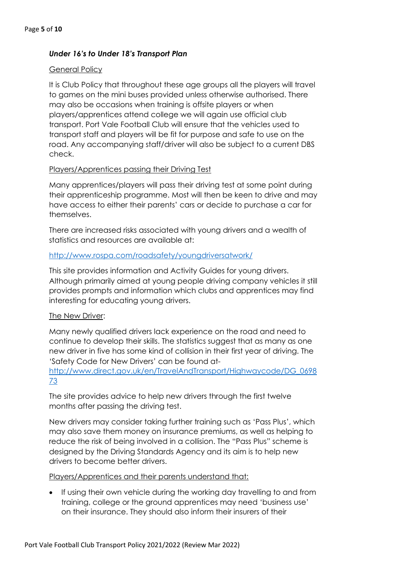# *Under 16's to Under 18's Transport Plan*

### General Policy

It is Club Policy that throughout these age groups all the players will travel to games on the mini buses provided unless otherwise authorised. There may also be occasions when training is offsite players or when players/apprentices attend college we will again use official club transport. Port Vale Football Club will ensure that the vehicles used to transport staff and players will be fit for purpose and safe to use on the road. Any accompanying staff/driver will also be subject to a current DBS check.

### Players/Apprentices passing their Driving Test

Many apprentices/players will pass their driving test at some point during their apprenticeship programme. Most will then be keen to drive and may have access to either their parents' cars or decide to purchase a car for themselves.

There are increased risks associated with young drivers and a wealth of statistics and resources are available at:

### http://www.rospa.com/roadsafety/youngdriversatwork/

This site provides information and Activity Guides for young drivers. Although primarily aimed at young people driving company vehicles it still provides prompts and information which clubs and apprentices may find interesting for educating young drivers.

# The New Driver:

Many newly qualified drivers lack experience on the road and need to continue to develop their skills. The statistics suggest that as many as one new driver in five has some kind of collision in their first year of driving. The 'Safety Code for New Drivers' can be found at-

### http://www.direct.gov.uk/en/TravelAndTransport/Highwaycode/DG\_0698 73

The site provides advice to help new drivers through the first twelve months after passing the driving test.

New drivers may consider taking further training such as 'Pass Plus', which may also save them money on insurance premiums, as well as helping to reduce the risk of being involved in a collision. The "Pass Plus" scheme is designed by the Driving Standards Agency and its aim is to help new drivers to become better drivers.

#### Players/Apprentices and their parents understand that:

• If using their own vehicle during the working day travelling to and from training, college or the ground apprentices may need 'business use' on their insurance. They should also inform their insurers of their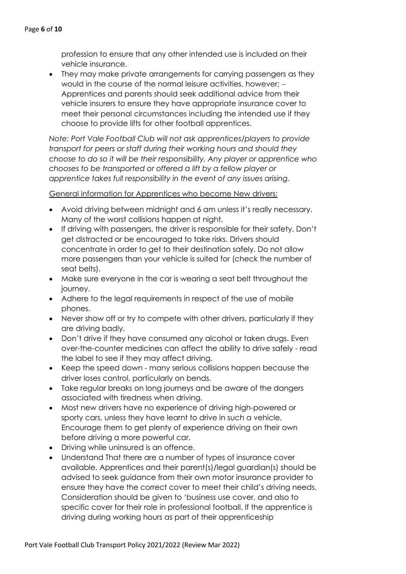profession to ensure that any other intended use is included on their vehicle insurance.

• They may make private arrangements for carrying passengers as they would in the course of the normal leisure activities, however: -Apprentices and parents should seek additional advice from their vehicle insurers to ensure they have appropriate insurance cover to meet their personal circumstances including the intended use if they choose to provide lifts for other football apprentices.

*Note: Port Vale Football Club will not ask apprentices/players to provide transport for peers or staff during their working hours and should they choose to do so it will be their responsibility. Any player or apprentice who chooses to be transported or offered a lift by a fellow player or apprentice takes full responsibility in the event of any issues arising.* 

General information for Apprentices who become New drivers:

- Avoid driving between midnight and 6 am unless it's really necessary. Many of the worst collisions happen at night.
- If driving with passengers, the driver is responsible for their safety. Don't get distracted or be encouraged to take risks. Drivers should concentrate in order to get to their destination safely. Do not allow more passengers than your vehicle is suited for (check the number of seat belts).
- Make sure everyone in the car is wearing a seat belt throughout the journey.
- Adhere to the legal requirements in respect of the use of mobile phones.
- Never show off or try to compete with other drivers, particularly if they are driving badly.
- Don't drive if they have consumed any alcohol or taken drugs. Even over-the-counter medicines can affect the ability to drive safely - read the label to see if they may affect driving.
- Keep the speed down many serious collisions happen because the driver loses control, particularly on bends.
- Take regular breaks on long journeys and be aware of the dangers associated with tiredness when driving.
- Most new drivers have no experience of driving high-powered or sporty cars, unless they have learnt to drive in such a vehicle. Encourage them to get plenty of experience driving on their own before driving a more powerful car.
- Driving while uninsured is an offence.
- Understand That there are a number of types of insurance cover available. Apprentices and their parent(s)/legal guardian(s) should be advised to seek guidance from their own motor insurance provider to ensure they have the correct cover to meet their child's driving needs. Consideration should be given to 'business use cover, and also to specific cover for their role in professional football. If the apprentice is driving during working hours as part of their apprenticeship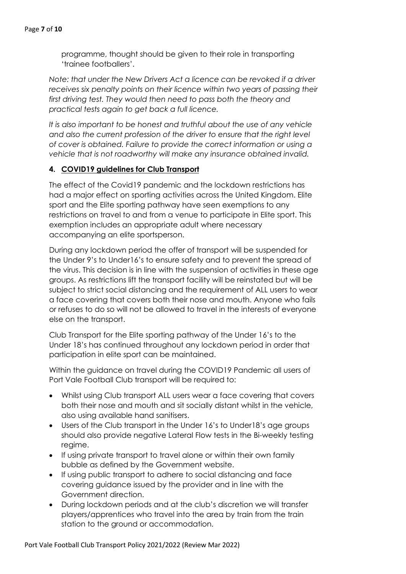programme, thought should be given to their role in transporting 'trainee footballers'.

*Note: that under the New Drivers Act a licence can be revoked if a driver receives six penalty points on their licence within two years of passing their first driving test. They would then need to pass both the theory and practical tests again to get back a full licence.*

*It is also important to be honest and truthful about the use of any vehicle*  and also the current profession of the driver to ensure that the right level *of cover is obtained. Failure to provide the correct information or using a vehicle that is not roadworthy will make any insurance obtained invalid.*

# **4. COVID19 guidelines for Club Transport**

The effect of the Covid19 pandemic and the lockdown restrictions has had a major effect on sporting activities across the United Kingdom. Elite sport and the Elite sporting pathway have seen exemptions to any restrictions on travel to and from a venue to participate in Elite sport. This exemption includes an appropriate adult where necessary accompanying an elite sportsperson.

During any lockdown period the offer of transport will be suspended for the Under 9's to Under16's to ensure safety and to prevent the spread of the virus. This decision is in line with the suspension of activities in these age groups. As restrictions lift the transport facility will be reinstated but will be subject to strict social distancing and the requirement of ALL users to wear a face covering that covers both their nose and mouth. Anyone who fails or refuses to do so will not be allowed to travel in the interests of everyone else on the transport.

Club Transport for the Elite sporting pathway of the Under 16's to the Under 18's has continued throughout any lockdown period in order that participation in elite sport can be maintained.

Within the guidance on travel during the COVID19 Pandemic all users of Port Vale Football Club transport will be required to:

- Whilst using Club transport ALL users wear a face covering that covers both their nose and mouth and sit socially distant whilst in the vehicle, also using available hand sanitisers.
- Users of the Club transport in the Under 16's to Under18's age groups should also provide negative Lateral Flow tests in the Bi-weekly testing regime.
- If using private transport to travel alone or within their own family bubble as defined by the Government website.
- If using public transport to adhere to social distancing and face covering guidance issued by the provider and in line with the Government direction.
- During lockdown periods and at the club's discretion we will transfer players/apprentices who travel into the area by train from the train station to the ground or accommodation.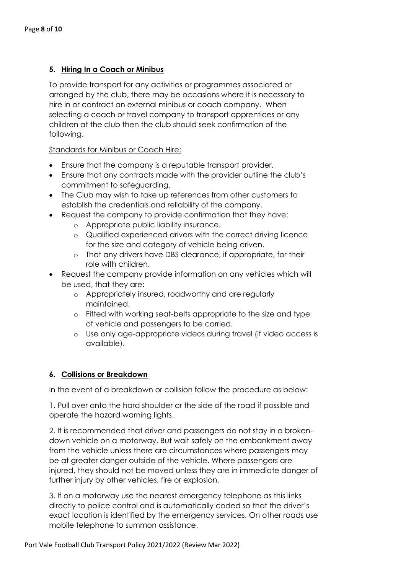# **5. Hiring In a Coach or Minibus**

To provide transport for any activities or programmes associated or arranged by the club, there may be occasions where it is necessary to hire in or contract an external minibus or coach company. When selecting a coach or travel company to transport apprentices or any children at the club then the club should seek confirmation of the following.

## Standards for Minibus or Coach Hire:

- Ensure that the company is a reputable transport provider.
- Ensure that any contracts made with the provider outline the club's commitment to safeguarding.
- The Club may wish to take up references from other customers to establish the credentials and reliability of the company.
- Request the company to provide confirmation that they have:
	- o Appropriate public liability insurance.
	- o Qualified experienced drivers with the correct driving licence for the size and category of vehicle being driven.
	- o That any drivers have DBS clearance, if appropriate, for their role with children.
- Request the company provide information on any vehicles which will be used, that they are:
	- o Appropriately insured, roadworthy and are regularly maintained.
	- o Fitted with working seat-belts appropriate to the size and type of vehicle and passengers to be carried.
	- o Use only age-appropriate videos during travel (if video access is available).

# **6. Collisions or Breakdown**

In the event of a breakdown or collision follow the procedure as below:

1. Pull over onto the hard shoulder or the side of the road if possible and operate the hazard warning lights.

2. It is recommended that driver and passengers do not stay in a brokendown vehicle on a motorway. But wait safely on the embankment away from the vehicle unless there are circumstances where passengers may be at greater danger outside of the vehicle. Where passengers are injured, they should not be moved unless they are in immediate danger of further injury by other vehicles, fire or explosion.

3. If on a motorway use the nearest emergency telephone as this links directly to police control and is automatically coded so that the driver's exact location is identified by the emergency services. On other roads use mobile telephone to summon assistance.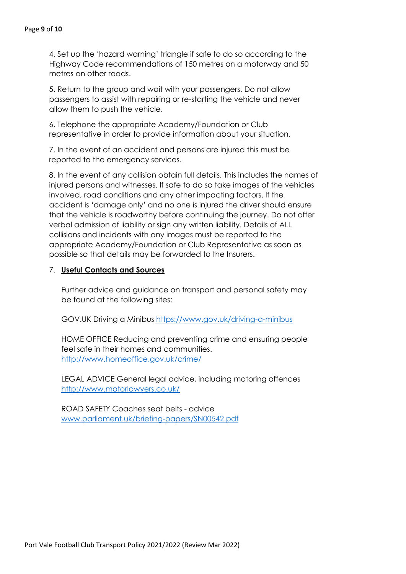4. Set up the 'hazard warning' triangle if safe to do so according to the Highway Code recommendations of 150 metres on a motorway and 50 metres on other roads.

5. Return to the group and wait with your passengers. Do not allow passengers to assist with repairing or re-starting the vehicle and never allow them to push the vehicle.

6. Telephone the appropriate Academy/Foundation or Club representative in order to provide information about your situation.

7. In the event of an accident and persons are injured this must be reported to the emergency services.

8. In the event of any collision obtain full details. This includes the names of injured persons and witnesses. If safe to do so take images of the vehicles involved, road conditions and any other impacting factors. If the accident is 'damage only' and no one is injured the driver should ensure that the vehicle is roadworthy before continuing the journey. Do not offer verbal admission of liability or sign any written liability. Details of ALL collisions and incidents with any images must be reported to the appropriate Academy/Foundation or Club Representative as soon as possible so that details may be forwarded to the Insurers.

## 7. **Useful Contacts and Sources**

Further advice and guidance on transport and personal safety may be found at the following sites:

GOV.UK Driving a Minibus https://www.gov.uk/driving-a-minibus

HOME OFFICE Reducing and preventing crime and ensuring people feel safe in their homes and communities. http://www.homeoffice.gov.uk/crime/

LEGAL ADVICE General legal advice, including motoring offences http://www.motorlawyers.co.uk/

ROAD SAFETY Coaches seat belts - advice www.parliament.uk/briefing-papers/SN00542.pdf